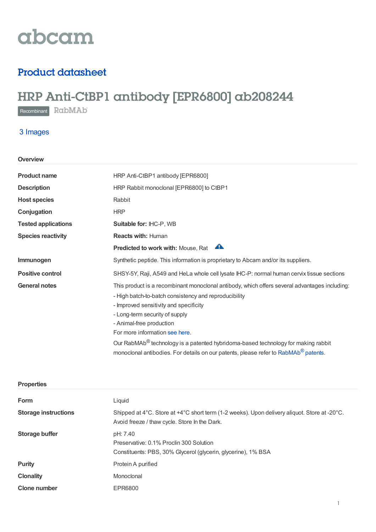# abcam

## Product datasheet

## HRP Anti-CtBP1 antibody [EPR6800] ab208244

Recombinant RabMAb

## 3 Images

| Overview                   |                                                                                                 |
|----------------------------|-------------------------------------------------------------------------------------------------|
| <b>Product name</b>        | HRP Anti-CtBP1 antibody [EPR6800]                                                               |
| <b>Description</b>         | HRP Rabbit monoclonal [EPR6800] to CtBP1                                                        |
| <b>Host species</b>        | Rabbit                                                                                          |
| Conjugation                | <b>HRP</b>                                                                                      |
| <b>Tested applications</b> | Suitable for: IHC-P, WB                                                                         |
| <b>Species reactivity</b>  | <b>Reacts with: Human</b>                                                                       |
|                            | A<br><b>Predicted to work with: Mouse, Rat</b>                                                  |
| Immunogen                  | Synthetic peptide. This information is proprietary to Abcam and/or its suppliers.               |
| <b>Positive control</b>    | SHSY-5Y, Raji, A549 and HeLa whole cell lysate IHC-P: normal human cervix tissue sections       |
| <b>General notes</b>       | This product is a recombinant monoclonal antibody, which offers several advantages including:   |
|                            | - High batch-to-batch consistency and reproducibility                                           |
|                            | - Improved sensitivity and specificity                                                          |
|                            | - Long-term security of supply                                                                  |
|                            | - Animal-free production                                                                        |
|                            | For more information see here.                                                                  |
|                            | Our RabMAb <sup>®</sup> technology is a patented hybridoma-based technology for making rabbit   |
|                            | monoclonal antibodies. For details on our patents, please refer to RabMAb <sup>®</sup> patents. |

| <b>Properties</b>           |                                                                                                                                               |
|-----------------------------|-----------------------------------------------------------------------------------------------------------------------------------------------|
| Form                        | Liquid                                                                                                                                        |
| <b>Storage instructions</b> | Shipped at 4°C. Store at +4°C short term (1-2 weeks). Upon delivery aliquot. Store at -20°C.<br>Avoid freeze / thaw cycle. Store In the Dark. |
| <b>Storage buffer</b>       | pH: 7.40<br>Preservative: 0.1% Proclin 300 Solution<br>Constituents: PBS, 30% Glycerol (glycerin, glycerine), 1% BSA                          |
| <b>Purity</b>               | Protein A purified                                                                                                                            |
| <b>Clonality</b>            | Monoclonal                                                                                                                                    |
| <b>Clone number</b>         | EPR6800                                                                                                                                       |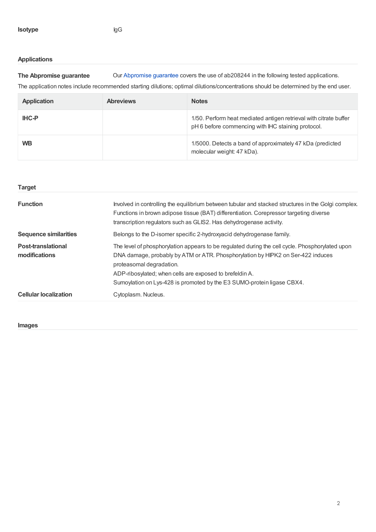### **Applications**

**The Abpromise guarantee** Our [Abpromise](https://www.abcam.com/abpromise) guarantee covers the use of ab208244 in the following tested applications.

The application notes include recommended starting dilutions; optimal dilutions/concentrations should be determined by the end user.

| Application  | <b>Abreviews</b> | <b>Notes</b>                                                                                                            |
|--------------|------------------|-------------------------------------------------------------------------------------------------------------------------|
| <b>IHC-P</b> |                  | 1/50. Perform heat mediated antigen retrieval with citrate buffer<br>pH 6 before commencing with IHC staining protocol. |
| <b>WB</b>    |                  | 1/5000. Detects a band of approximately 47 kDa (predicted<br>molecular weight: 47 kDa).                                 |

| <b>Target</b>                              |                                                                                                                                                                                                                                                                                                                                                     |
|--------------------------------------------|-----------------------------------------------------------------------------------------------------------------------------------------------------------------------------------------------------------------------------------------------------------------------------------------------------------------------------------------------------|
| <b>Function</b>                            | Involved in controlling the equilibrium between tubular and stacked structures in the Golgi complex.<br>Functions in brown adipose tissue (BAT) differentiation. Corepressor targeting diverse<br>transcription regulators such as GLIS2. Has dehydrogenase activity.                                                                               |
| <b>Sequence similarities</b>               | Belongs to the D-isomer specific 2-hydroxyacid dehydrogenase family.                                                                                                                                                                                                                                                                                |
| <b>Post-translational</b><br>modifications | The level of phosphorylation appears to be regulated during the cell cycle. Phosphorylated upon<br>DNA damage, probably by ATM or ATR. Phosphorylation by HIPK2 on Ser-422 induces<br>proteasomal degradation.<br>ADP-ribosylated; when cells are exposed to brefeldin A.<br>Sumoylation on Lys-428 is promoted by the E3 SUMO-protein ligase CBX4. |
| <b>Cellular localization</b>               | Cytoplasm. Nucleus.                                                                                                                                                                                                                                                                                                                                 |

**Images**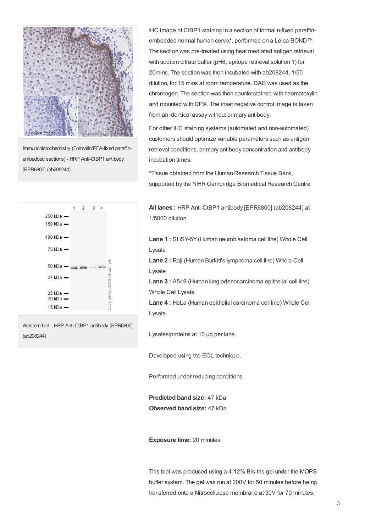

Immunohistochemistry (Formalin/PFA-fixed paraffinembedded sections) - HRP Anti-CtBP1 antibody [EPR6800] (ab208244)



Western blot - HRP Anti-CtBP1 antibody [EPR6800] (ab208244)

IHC image of CtBP1 staining in a section of formalin-fixed paraffinembedded normal human cervix\*, performed on a Leica BOND™. The section was pre-treated using heat mediated antigen retrieval with sodium citrate buffer (pH6, epitope retrieval solution 1) for 20mins. The section was then incubated with ab208244, 1/50 dilution, for 15 mins at room temperature. DAB was used as the chromogen. The section was then counterstained with haematoxylin and mounted with DPX. The inset negative control image is taken from an identical assay without primary antibody.

For other IHC staining systems (automated and non-automated) customers should optimize variable parameters such as antigen retrieval conditions, primary antibody concentration and antibody incubation times.

\*Tissue obtained from the Human Research Tissue Bank, supported by the NIHR Cambridge Biomedical Research Centre

**All lanes :** HRP Anti-CtBP1 antibody [EPR6800] (ab208244) at 1/5000 dilution

**Lane 1 :** SHSY-5Y(Human neuroblastoma cell line) Whole Cell Lysate

**Lane 2 :** Raji (Human Burkitt's lymphoma cell line) Whole Cell Lysate

**Lane 3 :** A549 (Human lung adenocarcinoma epithelial cell line) Whole Cell Lysate

**Lane 4 :** HeLa (Human epithelial carcinoma cell line) Whole Cell Lysate

Lysates/proteins at 10 µg per lane.

Developed using the ECL technique.

Performed under reducing conditions.

**Predicted band size:** 47 kDa **Observed band size:** 47 kDa

**Exposure time:** 20 minutes

This blot was produced using a 4-12% Bis-tris gel under the MOPS buffer system. The gel was run at 200V for 50 minutes before being transferred onto a Nitrocellulose membrane at 30V for 70 minutes.